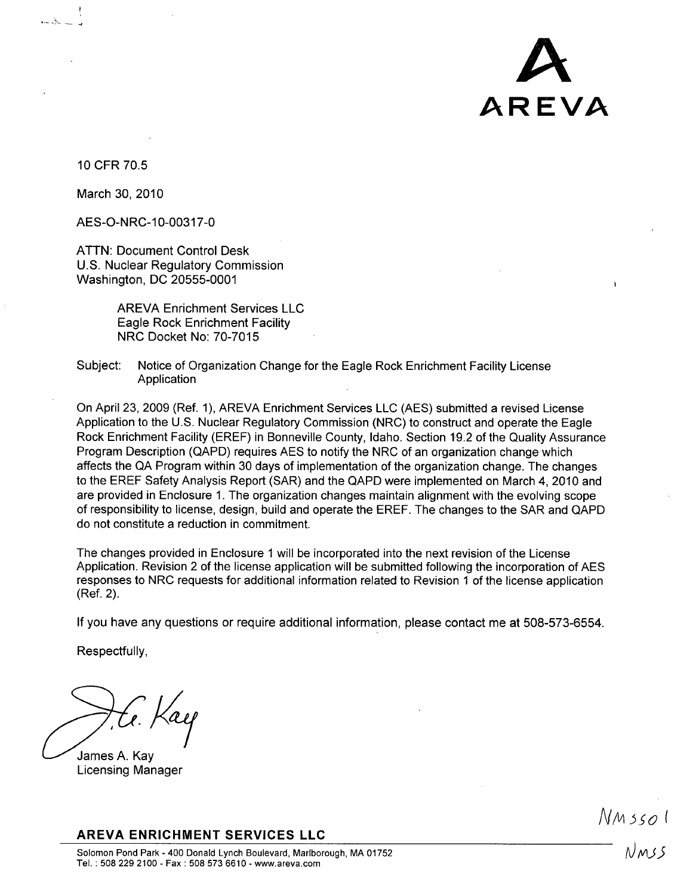

10 CFR 70.5

March 30, 2010

AES-O-NRC-10-00317-0

ATTN: Document Control Desk U.S. Nuclear Regulatory Commission Washington, DC 20555-0001

> AREVA Enrichment Services LLC Eagle Rock Enrichment Facility NRC Docket No: 70-7015

Subject: Notice of Organization Change for the Eagle Rock Enrichment Facility License Application

On April 23, 2009 (Ref. 1), AREVA Enrichment Services LLC (AES) submitted a revised License Application to the U.S. Nuclear Regulatory Commission (NRC) to construct and operate the Eagle Rock Enrichment Facility (EREF) in Bonneville County, Idaho. Section 19.2 of the Quality Assurance Program Description (QAPD) requires AES to notify the NRC of an organization change which affects the QA Program within 30 days of implementation of the organization change. The changes to the EREF Safety Analysis Report (SAR) and the QAPD were implemented on March 4, 2010 and are provided in Enclosure 1. The organization changes maintain alignment with the evolving scope of responsibility to license, design, build and operate the EREF. The changes to the SAR and QAPD do not constitute a reduction in commitment.

The changes provided in Enclosure **1** will be incorporated into the next revision of the License Application. Revision 2 of the license application will be submitted following the incorporation of AES responses to NRC requests for additional information related to Revision **1** of the license application (Ref. 2).

If you have any questions or require additional information, please contact me at 508-573-6554.

Respectfully,

James A. Kay Licensing Manager

AREVA **ENRICHMENT SERVICES LLC**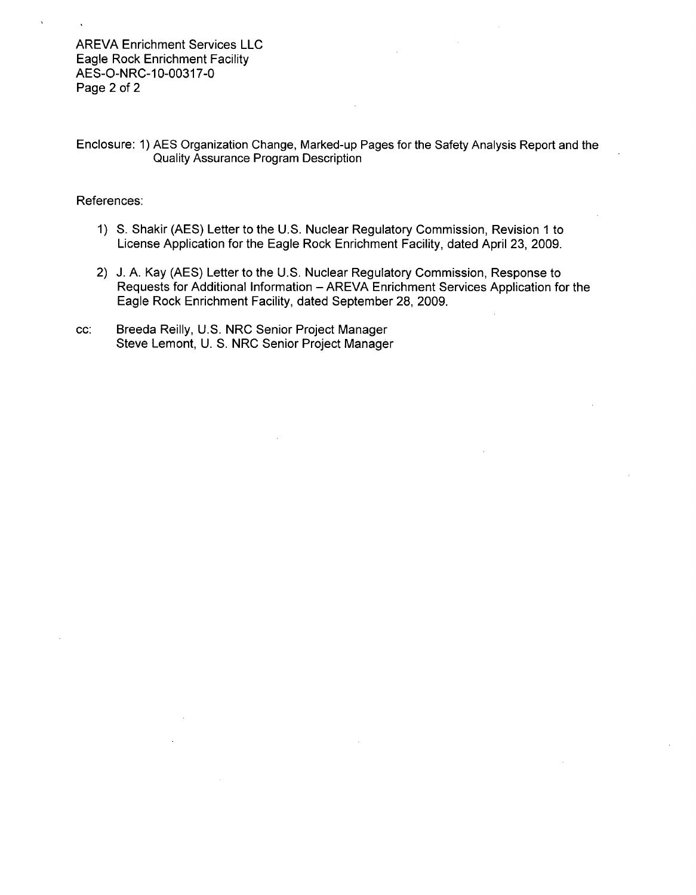AREVA Enrichment Services LLC Eagle Rock Enrichment Facility AES-O-NRC-10-00317-0 Page 2 of 2

Enclosure: 1) AES Organization Change, Marked-up Pages for the Safety Analysis Report and the Quality Assurance Program Description

#### References:

- 1) **S.** Shakir (AES) Letter to the U.S. Nuclear Regulatory Commission, Revision 1 to License Application for the Eagle Rock Enrichment Facility, dated April 23, 2009.
- 2) J. A. Kay (AES) Letter to the U.S. Nuclear Regulatory Commission, Response to Requests for Additional Information - AREVA Enrichment Services Application for the Eagle Rock Enrichment Facility, dated September 28, 2009.
- cc: Breeda Reilly, U.S. NRC Senior Project Manager Steve Lemont, U. S. NRC Senior Project Manager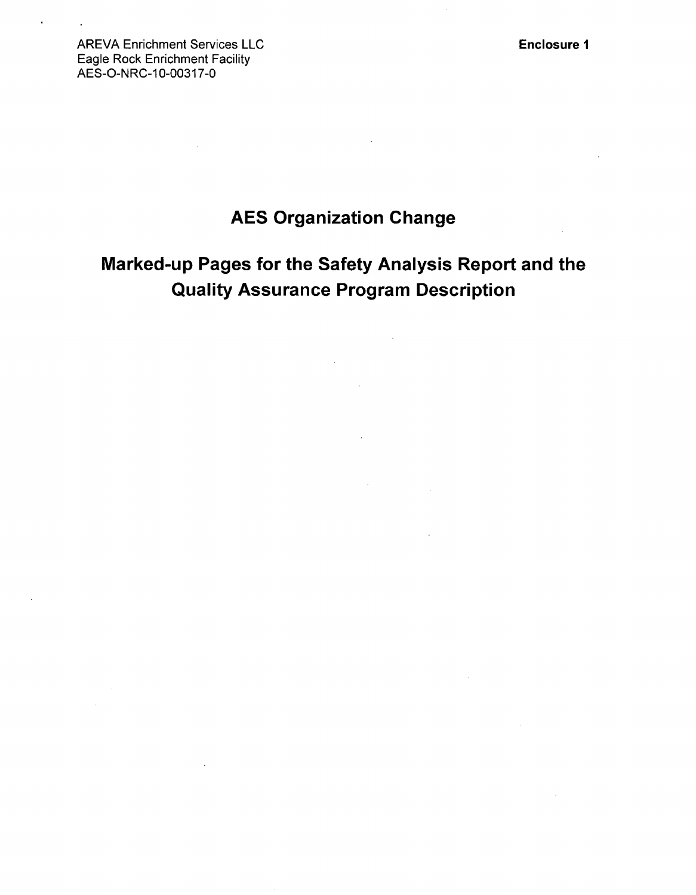Enclosure **1**

AREVA Enrichment Services LLC Eagle Rock Enrichment Facility AES-O-NRC-10-00317-0

# **AES** Organization Change

# Marked-up Pages for the Safety Analysis Report and the Quality Assurance Program Description

 $\sim$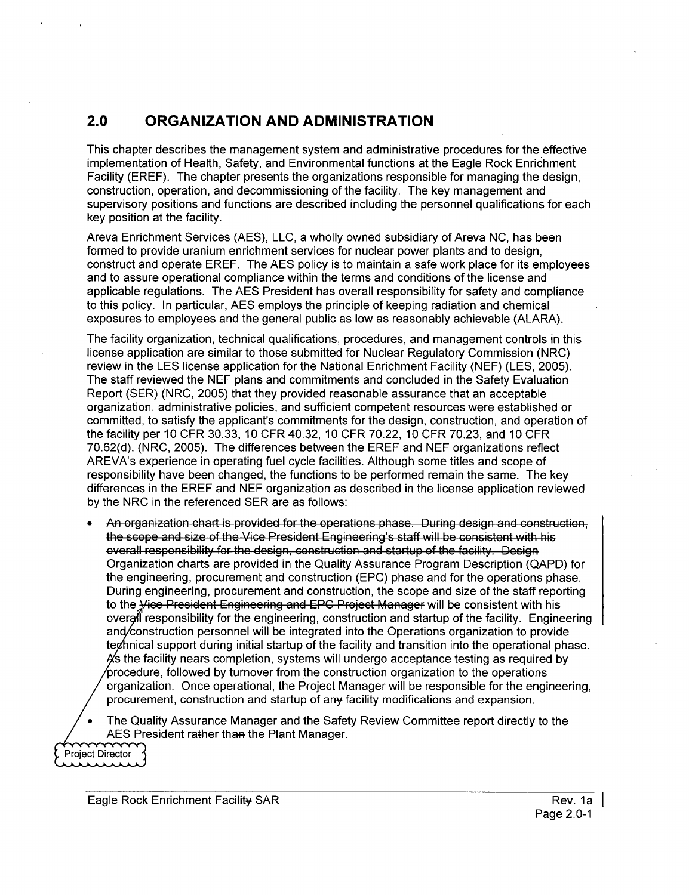## 2.0 **ORGANIZATION AND ADMINISTRATION**

This chapter describes the management system and administrative procedures for the effective implementation of Health, Safety, and Environmental functions at the Eagle Rock Enrichment Facility (EREF). The chapter presents the organizations responsible for managing the design, construction, operation, and decommissioning of the facility. The key management and supervisory positions and functions are described including the personnel qualifications for each key position at the facility.

Areva Enrichment Services (AES), LLC, a wholly owned subsidiary of Areva NC, has been formed to provide uranium enrichment services for nuclear power plants and to design, construct and operate EREF. The AES policy is to maintain a safe work place for its employees and to assure operational compliance within the terms and conditions of the license and applicable regulations. The AES President has overall responsibility for safety and compliance to this policy. In particular, AES employs the principle of keeping radiation and chemical exposures to employees and the general public as low as reasonably achievable (ALARA).

The facility organization, technical qualifications, procedures, and management controls in this license application are similar to those submitted for Nuclear Regulatory Commission (NRC) review in the LES license application for the National Enrichment Facility (NEF) (LES, 2005). The staff reviewed the NEF plans and commitments and concluded in the Safety Evaluation Report (SER) (NRC, 2005) that they provided reasonable assurance that an acceptable organization, administrative policies, and sufficient competent resources were established or committed, to satisfy the applicant's commitments for the design, construction, and operation of the facility per 10 CFR 30.33, 10 CFR 40.32, 10 CFR 70.22, 10 CFR 70.23, and 10 CFR 70.62(d). (NRC, 2005). The differences between the EREF and NEF organizations reflect AREVA's experience in operating fuel cycle facilities. Although some titles and scope of responsibility have been changed, the functions to be performed remain the same. The key differences in the EREF and NEF organization as described in the license application reviewed by the NRC in the referenced SER are as follows:

- An organization chart is provided for the operations phase. During design and construction, the scope and size of the Vice President Engineering's staff will be consistent with his overall responsibility for the design, construction and startup of the facility. Design Organization charts are provided in the Quality Assurance Program Description (QAPD) for the engineering, procurement and construction (EPC) phase and for the operations phase. During engineering, procurement and construction, the scope and size of the staff reporting to the Vice President Engineering and EPC Project Manager will be consistent with his overal responsibility for the engineering, construction and startup of the facility. Engineering and/construction personnel will be integrated into the Operations organization to provide teghnical support during initial startup of the facility and transition into the operational phase.  $\frac{1}{10}$  is the facility nears completion, systems will undergo acceptance testing as required by  $\%$ rocedure, followed by turnover from the construction organization to the operations organization. Once operational, the Project Manager will be responsible for the engineering, procurement, construction and startup of any facility modifications and expansion.
- The Quality Assurance Manager and the Safety Review Committee report directly to the **AES** President rather than the Plant Manager.

Project Director بتنبيذ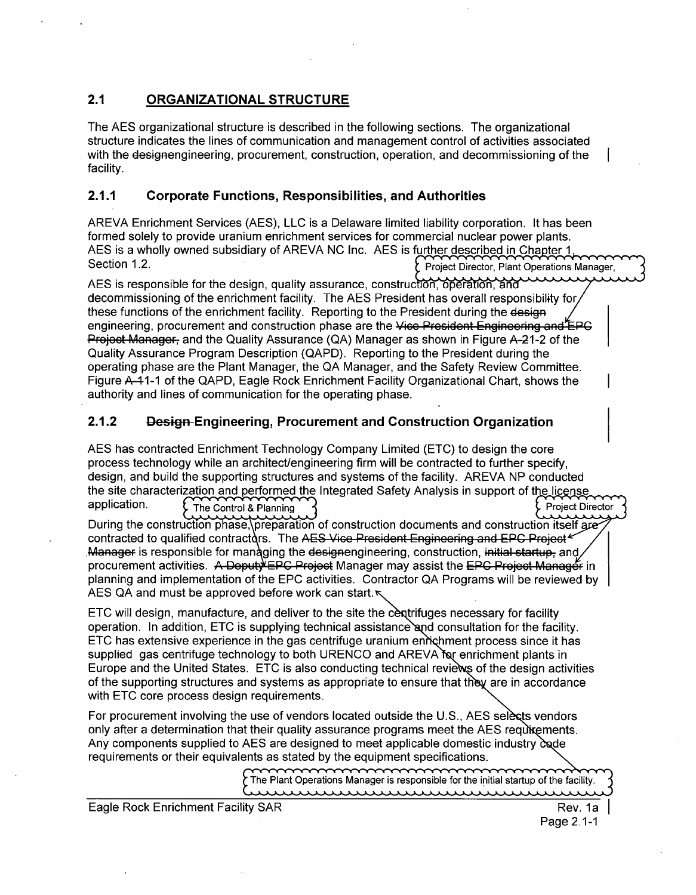## 2.1 **ORGANIZATIONAL STRUCTURE**

The AES organizational structure is described in the following sections. The organizational structure indicates the lines of communication and management control of activities associated with the designengineering, procurement, construction, operation, and decommissioning of the facility.

## 2.1.1 Corporate Functions, Responsibilities, and Authorities

AREVA Enrichment Services (AES), LLC is a Delaware limited liability corporation. It has been formed solely to provide uranium enrichment services for commercial nuclear power plants. AES is a wholly owned subsidiary of AREVA NC Inc. AES is further described in Chapter **1,** Section 1.2. **Project Director, Plant Operations Manager** , Project Director, Plant Operations Manager ,

AES is responsible for the design, quality assurance, construction, operation, and decommissioning of the enrichment facility. The AES President has overall responsibility for these functions of the enrichment facility. Reporting to the President during the design these functions of the engineering, procurement and construction phase are the Vice President Engineering and EPC **Project Manager, and the Quality Assurance (QA) Manager as shown in Figure A-21-2 of the** Quality Assurance Program Description (QAPD). Reporting to the President during the operating phase are the Plant Manager, the QA Manager, and the Safety Review Committee. Figure A-4-1-1 of the QAPD, Eagle Rock Enrichment Facility Organizational Chart, shows the authority and lines of communication for the operating phase.

## 2.1.2 Design-Engineering, Procurement and Construction Organization

AES has contracted Enrichment Technology Company Limited (ETC) to design the core process technology while an architect/engineering firm will be contracted to further specify, design, and build the supporting structures and systems of the facility. AREVA NP conducted the site characterization and performed the Integrated Safety Analysis in support of the license application. The Control **&** Planning Project Director

During the construction phase,\preparation of construction documents and construction itself gre contracted to qualified contractors. The AES Vice President Engineering and EPC Project  $\epsilon$ ,Manager is responsible for managing the designengineering, construction, initial startup, and procurement activities. A Deputy EPC Project Manager may assist the EPC Project Manager in planning and implementation of the EPC activities. Contractor QA Programs will be reviewed by AES QA and must be approved before work can start.

ETC will design, manufacture, and deliver to the site the centrifuges necessary for facility operation. In addition, ETC is supplying technical assistance and consultation for the facility. ETC has extensive experience in the gas centrifuge uranium *eni* hment process since it has supplied gas centrifuge technology to both URENCO and AREVA for enrichment plants in Europe and the United States. ETC is also conducting technical reviews of the design activities of the supporting structures and systems as appropriate to ensure that they are in accordance with ETC core process design requirements.

For procurement involving the use of vendors located outside the U.S., AES selects vendors only after a determination that their quality assurance programs meet the AES requivements. Any components supplied to AES are designed to meet applicable domestic industry  $\delta$  ade requirements or their equivalents as stated **by** the equipment specifications.

> The Plant Operations Manager is responsible for the initial startup of the facility. www.www.www.ww

Eagle Rock Enrichment Facility SAR Rev. **1a** I

Page 2.1-1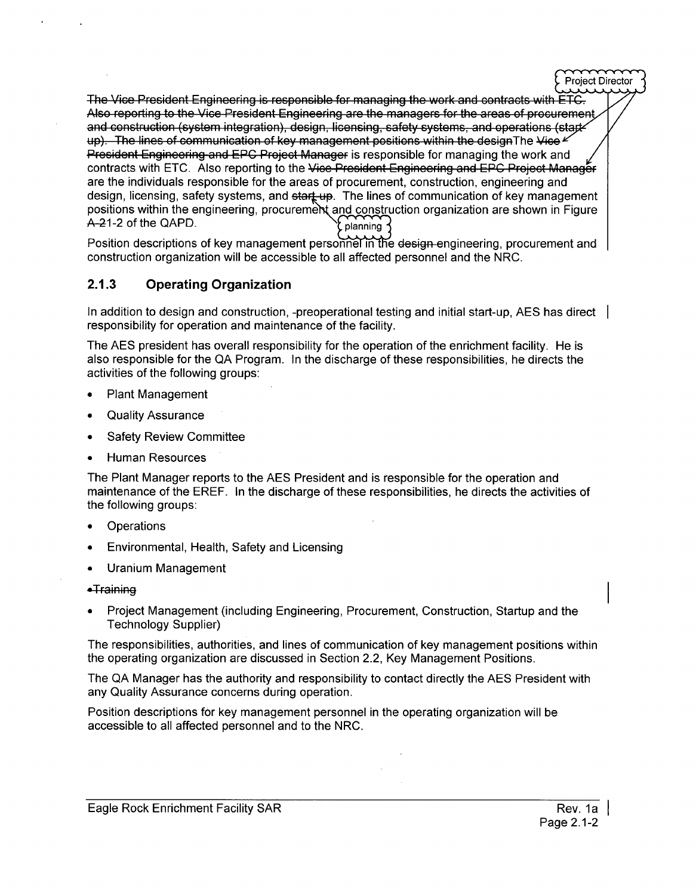The Vice President Engineering is responsible for managing the work and contracts with ETC. Also reporting to the Vice President Engineering are the managers for the areas of procurement and construction (system integration), design, licensing, safety systems, and operations (stark up). The lines of communication of key management positions within the design The Vice " President Engineering and EPC Project Manager is responsible for managing the work and contracts with ETC. Also reporting to the Vice President Engineering and EPC Project Manager are the individuals responsible for the areas of procurement, construction, engineering and<br>design, licensing, safety systems, and <del>start up</del>. The lines of communication of key management positions within the engineering, procurement and construction organization are shown in Figure A-21-2 of the QAPD.

Position descriptions of key management personnel in the design-engineering, procurement and construction organization will be accessible to all affected personnel and the NRC.

## **2.1.3** Operating Organization

In addition to design and construction, -preoperational testing and initial start-up, AES has direct | responsibility for operation and maintenance of the facility.

The AES president has overall responsibility for the operation of the enrichment facility. He is also responsible for the QA Program. In the discharge of these responsibilities, he directs the activities of the following groups:

- **"** Plant Management
- **"** Quality Assurance
- Safety Review Committee
- **Human Resources**

The Plant Manager reports to the AES President and is responsible for the operation and maintenance of the EREF. In the discharge of these responsibilities, he directs the activities of the following groups:

- **Operations**
- Environmental, Health, Safety and Licensing
- **"** Uranium Management

#### ●Training

Project Management (including Engineering, Procurement, Construction, Startup and the Technology Supplier)

The responsibilities, authorities, and lines of communication of key management positions within the operating organization are discussed in Section 2.2, Key Management Positions.

The QA Manager has the authority and responsibility to contact directly the AES President with any Quality Assurance concerns during operation.

Position descriptions for key management personnel in the operating organization will be accessible to all affected personnel and to the NRC.

**Project Director**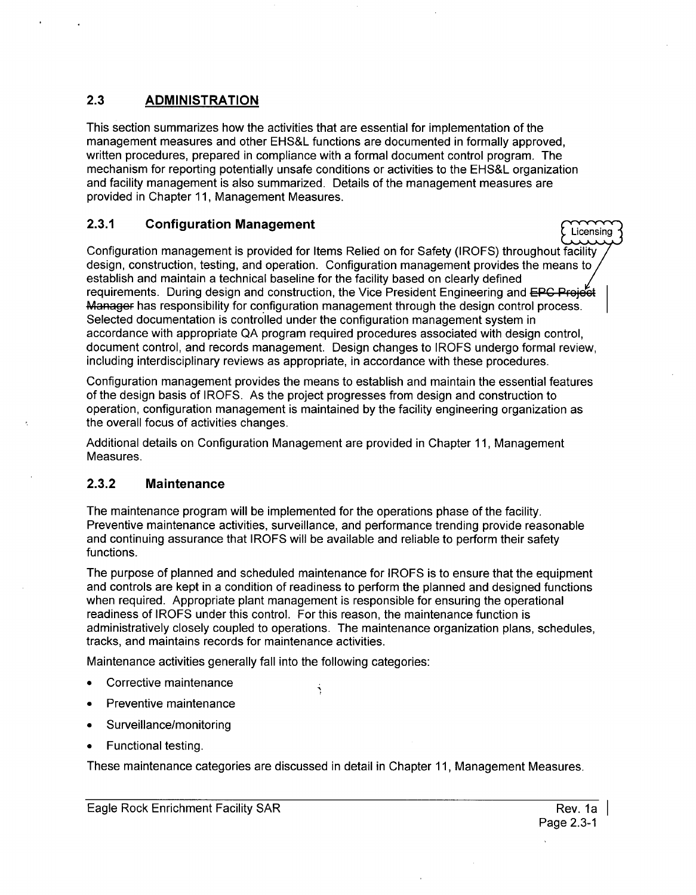## **2.3 ADMINISTRATION**

This section summarizes how the activities that are essential for implementation of the management measures and other EHS&L functions are documented in formally approved, written procedures, prepared in compliance with a formal document control program. The mechanism for reporting potentially unsafe conditions or activities to the EHS&L organization and facility management is also summarized. Details of the management measures are provided in Chapter 11, Management Measures.

## **2.3.1 Configuration Management Licensing Configuration Management**

Configuration management is provided for Items Relied on for Safety (IROFS) throughout facility design, construction, testing, and operation. Configuration management provides the means to establish and maintain a technical baseline for the facility based on clearly defined requirements. During design and construction, the Vice President Engineering and EPC Project Manager has responsibility for configuration management through the design control process. Selected documentation is controlled under the configuration management system in accordance with appropriate QA program required procedures associated with design control, document control, and records management. Design changes to IROFS undergo formal review, including interdisciplinary reviews as appropriate, in accordance with these procedures.

Configuration management provides the means to establish and maintain the essential features of the design basis of IROFS. As the project progresses from design and construction to operation, configuration management is maintained by the facility engineering organization as the overall focus of activities changes.

Additional details on Configuration Management are provided in Chapter 11, Management Measures.

## **2.3.2** Maintenance

The maintenance program will be implemented for the operations phase of the facility. Preventive maintenance activities, surveillance, and performance trending provide reasonable and continuing assurance that IROFS will be available and reliable to perform their safety functions.

The purpose of planned and scheduled maintenance for IROFS is to ensure that the equipment and controls are kept in a condition of readiness to perform the planned and designed functions when required. Appropriate plant management is responsible for ensuring the operational readiness of IROFS under this control. For this reason, the maintenance function is administratively closely coupled to operations. The maintenance organization plans, schedules, tracks, and maintains records for maintenance activities.

Maintenance activities generally fall into the following categories:

- Corrective maintenance
- Preventive maintenance
- Surveillance/monitoring
- **Functional testing.**

These maintenance categories are discussed in detail in Chapter 11, Management Measures.

Ŕ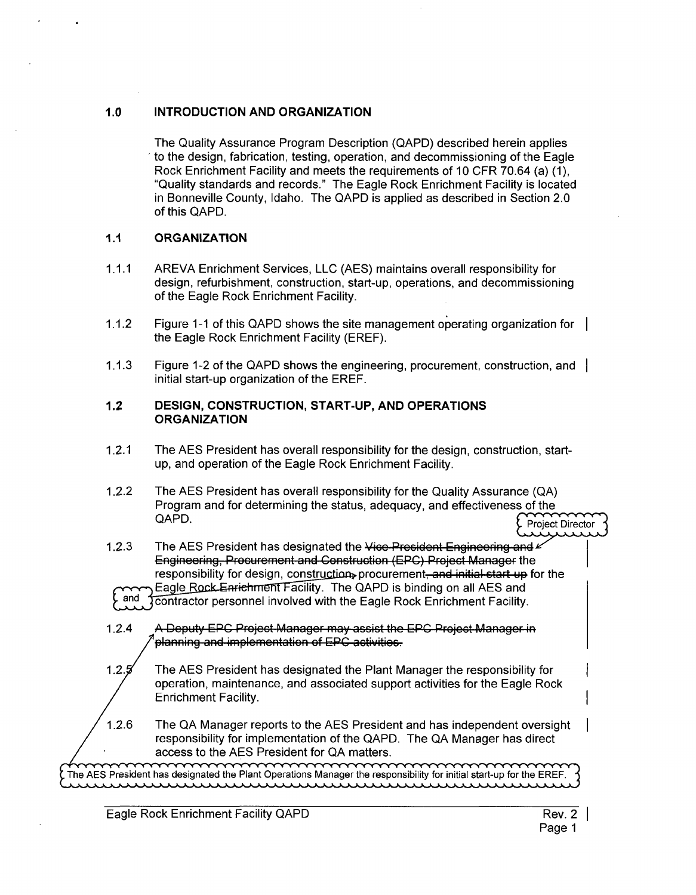#### **1.0 INTRODUCTION AND ORGANIZATION**

The Quality Assurance Program Description (QAPD) described herein applies to the design, fabrication, testing, operation, and decommissioning of the Eagle Rock Enrichment Facility and meets the requirements of 10 CFR 70.64 (a) (1), "Quality standards and records." The Eagle Rock Enrichment Facility is located in Bonneville County, Idaho. The QAPD is applied as described in Section 2.0 of this QAPD.

#### **1.1 ORGANIZATION**

- **1.1.1** AREVA Enrichment Services, LLC (AES) maintains overall responsibility for design, refurbishment, construction, start-up, operations, and decommissioning of the Eagle Rock Enrichment Facility.
- 1.1.2 Figure 1-1 of this QAPD shows the site management operating organization for the Eagle Rock Enrichment Facility (EREF).
- 1.1.3 Figure 1-2 of the QAPD shows the engineering, procurement, construction, and initial start-up organization of the EREF.

#### 1.2 **DESIGN, CONSTRUCTION,** START-UP, **AND OPERATIONS ORGANIZATION**

- 1.2.1 The AES President has overall responsibility for the design, construction, startup, and operation of the Eagle Rock Enrichment Facility.
- 1.2.2 The AES President has overall responsibility for the Quality Assurance (QA) Program and for determining the status, adequacy, and effectiveness of the QAPD. Project Director Director Director Director Director Director Director Director Director Director Director Director Director Director Director Director Director Director Director Director Director Director Director D

1.2.3 The AES President has designated the Vice President Engineering and Engineering, Procurement and Construction (EPC) Project Manager the responsibility for design, construction, procurement, and initial start up for the Eagle Rock Enrichment Facility. The QAPD is binding on all AES and and **Transfort personnel involved with the Eagle Rock Enrichment Facility.** 

1.2.4 A Deputy EPC Project Manager may assist the EPC Project Manager in **planning and implementation of EPC activities.** 

1.2.5 The AES President has designated the Plant Manager the responsibility for operation, maintenance, and associated support activities for the Eagle Rock Enrichment Facility.

1.2.6 The QA Manager reports to the AES President and has independent oversight responsibility for implementation of the QAPD. The QA Manager has direct access to the **AES** President for **QA** matters.

The **AES** President has designated the Plant Operations Manager the responsibility for initial start-up for the EREF. سسسسس